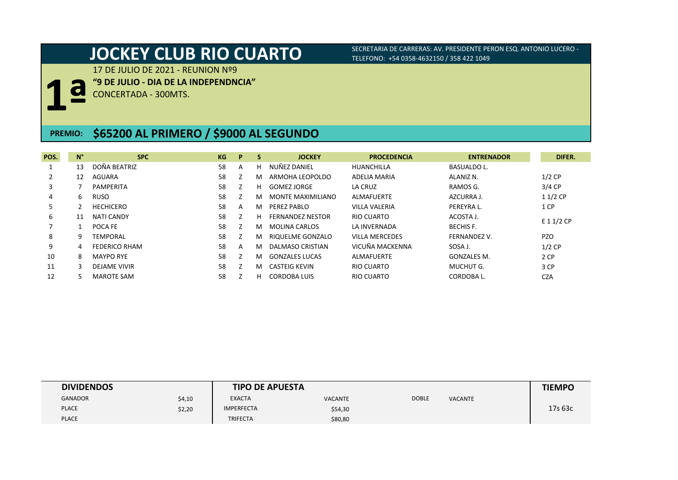17 DE JULIO DE 2021 - REUNION Nº9

**"9 DE JULIO - DIA DE LA INDEPENDNCIA"**

**1ª** CONCERTADA - 300MTS.

## **PREMIO: \$65200 AL PRIMERO / \$9000 AL SEGUNDO**

| POS. | $N^{\circ}$ | <b>SPC</b>           | KG | P | -S | <b>JOCKEY</b>           | <b>PROCEDENCIA</b>    | <b>ENTRENADOR</b>   | DIFER.       |
|------|-------------|----------------------|----|---|----|-------------------------|-----------------------|---------------------|--------------|
|      | 13          | DOÑA BEATRIZ         | 58 | A | н  | NUÑEZ DANIEL            | HUANCHILLA            | <b>BASUALDO L.</b>  |              |
|      | 12          | AGUARA               | 58 |   | м  | ARMOHA LEOPOLDO         | ADELIA MARIA          | ALANIZ N.           | $1/2$ CP     |
| 3    |             | PAMPERITA            | 58 |   | н  | <b>GOMEZ JORGE</b>      | LA CRUZ               | RAMOS G.            | $3/4$ CP     |
| 4    | 6           | <b>RUSO</b>          | 58 |   | м  | MONTE MAXIMILIANO       | ALMAFUERTE            | AZCURRA J.          | $11/2$ CP    |
| 5    |             | <b>HECHICERO</b>     | 58 | A | м  | PEREZ PABLO             | <b>VILLA VALERIA</b>  | PEREYRA L.          | 1 CP         |
| 6    | 11          | <b>NATI CANDY</b>    | 58 |   | н  | <b>FERNANDEZ NESTOR</b> | RIO CUARTO            | ACOSTA J.           | $E$ 1 1/2 CP |
|      |             | POCA FE              | 58 |   | м  | <b>MOLINA CARLOS</b>    | LA INVERNADA          | <b>BECHIS F.</b>    |              |
| 8    | 9           | <b>TEMPORAL</b>      | 58 |   | м  | RIQUELME GONZALO        | <b>VILLA MERCEDES</b> | <b>FERNANDEZ V.</b> | <b>PZO</b>   |
| 9    | 4           | <b>FEDERICO RHAM</b> | 58 | A | м  | DALMASO CRISTIAN        | VICUÑA MACKENNA       | SOSA J.             | $1/2$ CP     |
| 10   | 8           | MAYPO RYE            | 58 |   | м  | <b>GONZALES LUCAS</b>   | ALMAFUERTE            | <b>GONZALES M.</b>  | 2 CP         |
| 11   |             | <b>DEJAME VIVIR</b>  | 58 |   | м  | CASTEIG KEVIN           | RIO CUARTO            | MUCHUT G.           | 3 CP         |
| 12   |             | <b>MAROTE SAM</b>    | 58 |   | н  | <b>CORDOBA LUIS</b>     | RIO CUARTO            | CORDOBA L.          | <b>CZA</b>   |

| <b>DIVIDENDOS</b> |        | <b>TIPO DE APUESTA</b> |                |              |                | <b>TIEMPO</b> |
|-------------------|--------|------------------------|----------------|--------------|----------------|---------------|
| <b>GANADOR</b>    | \$4,10 | <b>EXACTA</b>          | <b>VACANTE</b> | <b>DOBLE</b> | <b>VACANTE</b> |               |
| <b>PLACE</b>      | \$2,20 | <b>IMPERFECTA</b>      | \$54,30        |              |                | 17s 63c       |
| <b>PLACE</b>      |        | <b>TRIFECTA</b>        | \$80,80        |              |                |               |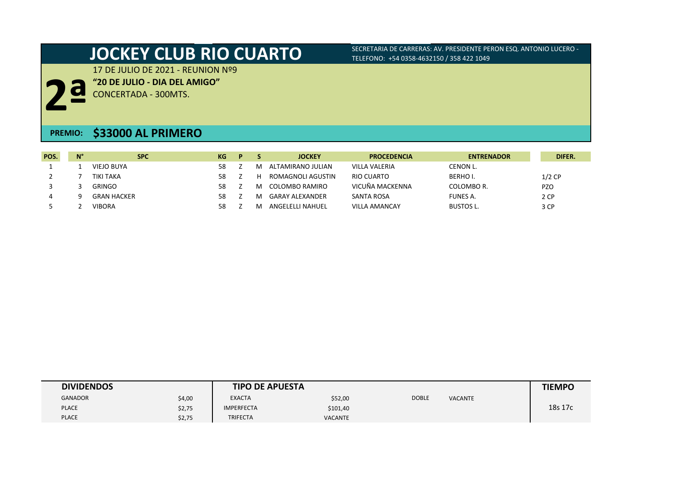17 DE JULIO DE 2021 - REUNION Nº9

**"20 DE JULIO - DIA DEL AMIGO"**

**2ª** CONCERTADA - 300MTS.

## **PREMIO: \$33000 AL PRIMERO**

| POS. | $\mathbf{N}^{\circ}$ | <b>SPC</b>         | KG. | D. |   | <b>JOCKEY</b>     | <b>PROCEDENCIA</b>   | <b>ENTRENADOR</b>    | DIFER.     |
|------|----------------------|--------------------|-----|----|---|-------------------|----------------------|----------------------|------------|
|      |                      | VIEJO BUYA         | 58  |    | M | ALTAMIRANO JULIAN | <b>VILLA VALERIA</b> | CENON L.             |            |
|      |                      | TIKI TAKA          | 58  |    |   | ROMAGNOLI AGUSTIN | RIO CUARTO           | BERHO <sub>I</sub> . | $1/2$ CP   |
|      |                      | <b>GRINGO</b>      | 58  |    | M | COLOMBO RAMIRO    | VICUÑA MACKENNA      | COLOMBO R.           | <b>PZO</b> |
|      |                      | <b>GRAN HACKER</b> | 58  |    | M | GARAY ALEXANDER   | SANTA ROSA           | <b>FUNES A.</b>      | 2 CP       |
|      |                      | <b>VIBORA</b>      | 58  |    |   | ANGELELLI NAHUEL  | <b>VILLA AMANCAY</b> | <b>BUSTOS L.</b>     | 3 CP       |

| <b>DIVIDENDOS</b> |        | <b>TIPO DE APUESTA</b> |                |              |                | <b>TIEMPO</b> |
|-------------------|--------|------------------------|----------------|--------------|----------------|---------------|
| <b>GANADOR</b>    | \$4,00 | <b>EXACTA</b>          | \$52,00        | <b>DOBLE</b> | <b>VACANTE</b> |               |
| <b>PLACE</b>      | \$2,75 | IMPERFECTA             | \$101,40       |              |                | 18s 17c       |
| <b>PLACE</b>      | \$2,75 | <b>TRIFECTA</b>        | <b>VACANTE</b> |              |                |               |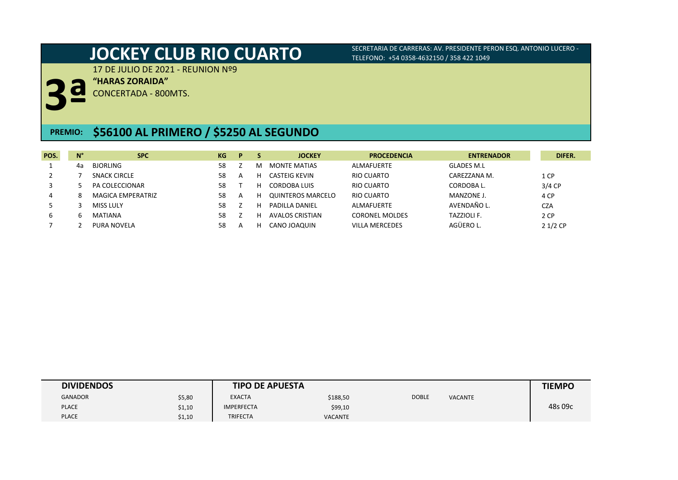17 DE JULIO DE 2021 - REUNION Nº9

**"HARAS ZORAIDA"**

**3ª** CONCERTADA - 800MTS.

# **PREMIO: \$56100 AL PRIMERO / \$5250 AL SEGUNDO**

| POS. | $N^{\circ}$ | <b>SPC</b>          | KG | P. |   | <b>JOCKEY</b>            | <b>PROCEDENCIA</b>    | <b>ENTRENADOR</b> | DIFER.     |
|------|-------------|---------------------|----|----|---|--------------------------|-----------------------|-------------------|------------|
|      | 4а          | <b>BJORLING</b>     | 58 |    | м | MONTE MATIAS             | ALMAFUERTE            | <b>GLADES M.L</b> |            |
|      |             | <b>SNACK CIRCLE</b> | 58 | A  | н | CASTEIG KEVIN            | RIO CUARTO            | CAREZZANA M.      | 1 CP       |
|      |             | PA COLECCIONAR      | 58 |    |   | CORDOBA LUIS             | RIO CUARTO            | CORDOBA L.        | 3/4 CP     |
| 4    | 8           | MAGICA EMPERATRIZ   | 58 | A  | н | <b>QUINTEROS MARCELO</b> | RIO CUARTO            | MANZONE J.        | 4 CP       |
|      |             | <b>MISS LULY</b>    | 58 |    | н | PADILLA DANIEL           | ALMAFUERTE            | AVENDAÑO L.       | <b>CZA</b> |
| 6    | h           | MATIANA             | 58 |    |   | <b>AVALOS CRISTIAN</b>   | <b>CORONEL MOLDES</b> | TAZZIOLI F.       | 2 CP       |
|      |             | PURA NOVELA         | 58 |    |   | CANO JOAQUIN             | <b>VILLA MERCEDES</b> | AGÜERO L.         | $21/2$ CP  |

| <b>DIVIDENDOS</b> |        | <b>TIPO DE APUESTA</b> |                |              |                | <b>TIEMPO</b> |
|-------------------|--------|------------------------|----------------|--------------|----------------|---------------|
| <b>GANADOR</b>    | \$5,80 | <b>EXACTA</b>          | \$188,50       | <b>DOBLE</b> | <b>VACANTE</b> |               |
| <b>PLACE</b>      | \$1,10 | <b>IMPERFECTA</b>      | \$99,10        |              |                | 48s 09c       |
| <b>PLACE</b>      | \$1,10 | <b>TRIFECTA</b>        | <b>VACANTE</b> |              |                |               |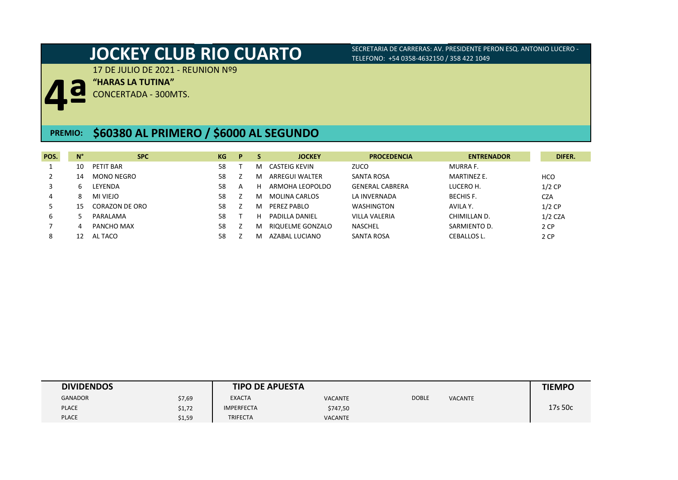17 DE JULIO DE 2021 - REUNION Nº9

**"HARAS LA TUTINA"**

**4** CONCERTADA - 300MTS.

### **PREMIO: \$60380 AL PRIMERO / \$6000 AL SEGUNDO**

| POS. | $N^{\circ}$ | <b>SPC</b>     | KG | P. | -S | <b>JOCKEY</b>        | <b>PROCEDENCIA</b>     | <b>ENTRENADOR</b>  | DIFER.     |
|------|-------------|----------------|----|----|----|----------------------|------------------------|--------------------|------------|
|      | 10          | PETIT BAR      | 58 |    | м  | CASTEIG KEVIN        | ZUCO                   | <b>MURRA F.</b>    |            |
|      | 14          | MONO NEGRO     | 58 |    | м  | ARREGUI WALTER       | SANTA ROSA             | <b>MARTINEZ E.</b> | <b>HCO</b> |
|      | 6           | LEYENDA        | 58 | A  | н  | ARMOHA LEOPOLDO      | <b>GENERAL CABRERA</b> | LUCERO H.          | $1/2$ CP   |
| 4    | 8           | MI VIEJO       | 58 |    | м  | <b>MOLINA CARLOS</b> | LA INVERNADA           | <b>BECHIS F.</b>   | <b>CZA</b> |
|      | 15          | CORAZON DE ORO | 58 |    | м  | PEREZ PABLO          | WASHINGTON             | AVILA Y.           | $1/2$ CP   |
| 6    |             | PARALAMA       | 58 |    | н  | PADILLA DANIEL       | VILLA VALERIA          | CHIMILLAN D.       | $1/2$ CZA  |
|      | 4           | PANCHO MAX     | 58 |    | м  | RIQUELME GONZALO     | <b>NASCHEL</b>         | SARMIENTO D.       | 2 CP       |
| 8    |             | AL TACO        | 58 |    | м  | AZABAL LUCIANO       | SANTA ROSA             | CEBALLOS L.        | 2 CP       |

| <b>DIVIDENDOS</b> |        | <b>TIPO DE APUESTA</b> |                |              |                | <b>TIEMPO</b> |
|-------------------|--------|------------------------|----------------|--------------|----------------|---------------|
| <b>GANADOR</b>    | \$7,69 | <b>EXACTA</b>          | <b>VACANTE</b> | <b>DOBLE</b> | <b>VACANTE</b> |               |
| <b>PLACE</b>      | \$1,72 | <b>IMPERFECTA</b>      | \$747,50       |              |                | 17s 50c       |
| <b>PLACE</b>      | \$1,59 | <b>TRIFECTA</b>        | <b>VACANTE</b> |              |                |               |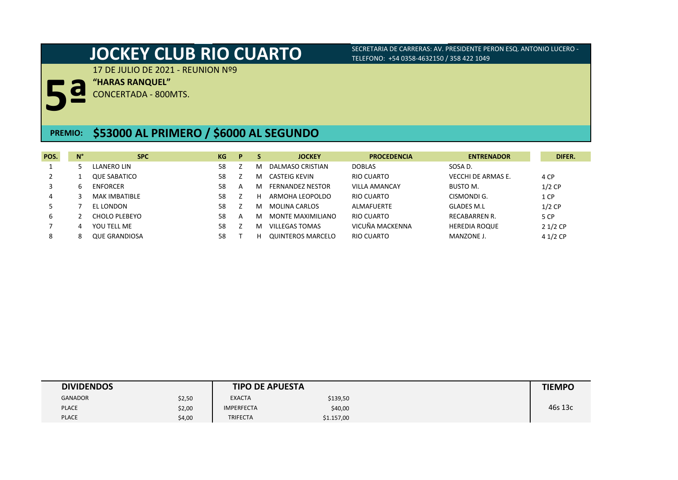17 DE JULIO DE 2021 - REUNION Nº9

**"HARAS RANQUEL"**

**5ª** CONCERTADA - 800MTS.

# **PREMIO: \$53000 AL PRIMERO / \$6000 AL SEGUNDO**

| POS. | $N^{\circ}$ | <b>SPC</b>           | KG | P |   | <b>JOCKEY</b>           | <b>PROCEDENCIA</b>   | <b>ENTRENADOR</b>         | DIFER.    |
|------|-------------|----------------------|----|---|---|-------------------------|----------------------|---------------------------|-----------|
|      |             | LLANERO LIN          | 58 |   | м | DALMASO CRISTIAN        | <b>DOBLAS</b>        | SOSA D.                   |           |
|      |             | <b>QUE SABATICO</b>  | 58 |   | м | <b>CASTEIG KEVIN</b>    | RIO CUARTO           | <b>VECCHI DE ARMAS E.</b> | 4 CP      |
|      | b           | <b>ENFORCER</b>      | 58 | A | м | <b>FERNANDEZ NESTOR</b> | <b>VILLA AMANCAY</b> | BUSTO M.                  | $1/2$ CP  |
| 4    |             | <b>MAK IMBATIBLE</b> | 58 |   | н | ARMOHA LEOPOLDO         | RIO CUARTO           | CISMONDI G.               | 1 CP      |
|      |             | EL LONDON            | 58 |   | м | <b>MOLINA CARLOS</b>    | ALMAFUERTE           | <b>GLADES M.L</b>         | $1/2$ CP  |
| 6    |             | CHOLO PLEBEYO        | 58 | А | м | MONTE MAXIMILIANO       | RIO CUARTO           | <b>RECABARREN R.</b>      | 5 CP      |
|      |             | YOU TELL ME          | 58 |   | м | <b>VILLEGAS TOMAS</b>   | VICUÑA MACKENNA      | <b>HEREDIA ROQUE</b>      | $21/2$ CP |
| 8    | 8           | <b>QUE GRANDIOSA</b> | 58 |   | н | QUINTEROS MARCELO       | RIO CUARTO           | MANZONE J.                | 4 1/2 CP  |

| <b>DIVIDENDOS</b> |        | <b>TIPO DE APUESTA</b> |            | <b>TIEMPO</b> |
|-------------------|--------|------------------------|------------|---------------|
| <b>GANADOR</b>    | \$2,50 | <b>EXACTA</b>          | \$139,50   |               |
| <b>PLACE</b>      | \$2,00 | <b>IMPERFECTA</b>      | \$40,00    | 46s 13c       |
| <b>PLACE</b>      | \$4,00 | <b>TRIFECTA</b>        | \$1.157,00 |               |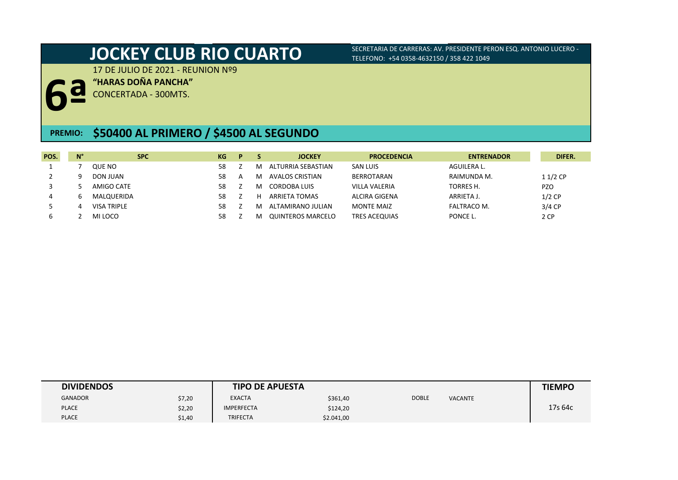17 DE JULIO DE 2021 - REUNION Nº9

**"HARAS DOÑA PANCHA"**

**6ª** CONCERTADA - 300MTS.

### **\$50400 AL PRIMERO / \$4500 AL SEGUNDO PREMIO:**

| POS. | $N^{\circ}$ | <b>SPC</b>         | KG | P. |   | <b>JOCKEY</b>      | <b>PROCEDENCIA</b>   | <b>ENTRENADOR</b> | DIFER.     |
|------|-------------|--------------------|----|----|---|--------------------|----------------------|-------------------|------------|
|      |             | QUE NO             | 58 |    | M | ALTURRIA SEBASTIAN | SAN LUIS             | AGUILERA L.       |            |
|      |             | DON JUAN           | 58 | А  | M | AVALOS CRISTIAN    | <b>BERROTARAN</b>    | RAIMUNDA M.       | $11/2$ CP  |
|      |             | AMIGO CATE         | 58 |    | м | CORDOBA LUIS       | <b>VILLA VALERIA</b> | TORRES H.         | <b>PZO</b> |
| 4    |             | MALQUERIDA         | 58 |    |   | ARRIETA TOMAS      | ALCIRA GIGENA        | ARRIETA J.        | $1/2$ CP   |
|      |             | <b>VISA TRIPLE</b> | 58 |    | M | ALTAMIRANO JULIAN  | <b>MONTE MAIZ</b>    | FALTRACO M.       | $3/4$ CP   |
|      |             | MI LOCO            | 58 |    | M | QUINTEROS MARCELO  | <b>TRES ACEQUIAS</b> | PONCE L.          | 2 CP       |

| <b>DIVIDENDOS</b> |        | <b>TIPO DE APUESTA</b> |            |       |                | <b>TIEMPO</b> |
|-------------------|--------|------------------------|------------|-------|----------------|---------------|
| <b>GANADOR</b>    | \$7,20 | <b>EXACTA</b>          | \$361,40   | DOBLE | <b>VACANTE</b> |               |
| <b>PLACE</b>      | \$2,20 | <b>IMPERFECTA</b>      | \$124,20   |       |                | 17s 64c       |
| <b>PLACE</b>      | \$1,40 | <b>TRIFECTA</b>        | \$2.041,00 |       |                |               |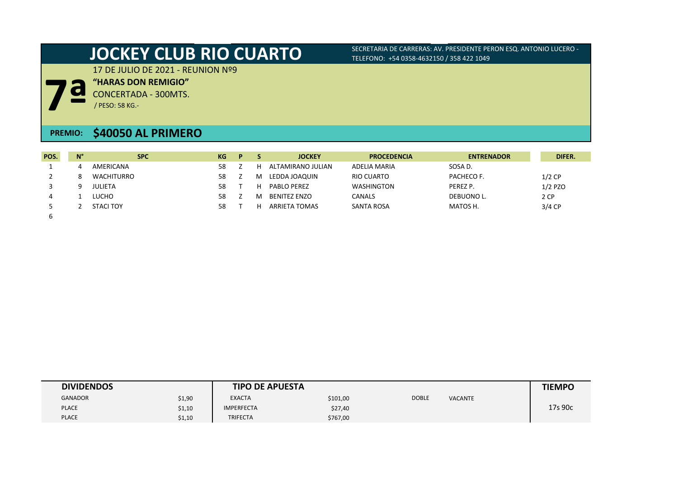17 DE JULIO DE 2021 - REUNION Nº9

**"HARAS DON REMIGIO"**

**7ª** CONCERTADA - 300MTS.

/ PESO: 58 KG.-

### **PREMIO: \$40050 AL PRIMERO**

| POS. | $N^{\circ}$ | <b>SPC</b>       | KG | D |    | <b>JOCKEY</b>       | <b>PROCEDENCIA</b> | <b>ENTRENADOR</b> | DIFER.    |
|------|-------------|------------------|----|---|----|---------------------|--------------------|-------------------|-----------|
|      | 4           | AMERICANA        | 58 |   | н. | ALTAMIRANO JULIAN   | ADELIA MARIA       | SOSA D.           |           |
|      | 8           | WACHITURRO       | 58 |   | M  | LEDDA JOAQUIN       | RIO CUARTO         | PACHECO F.        | $1/2$ CP  |
|      | a           | JULIETA          | 58 |   | н  | <b>PABLO PEREZ</b>  | WASHINGTON         | PEREZ P.          | $1/2$ PZO |
| 4    |             | LUCHO            | 58 |   | M  | <b>BENITEZ ENZO</b> | CANALS             | DEBUONO L.        | 2 CP      |
|      |             | <b>STACI TOY</b> | 58 |   | н  | ARRIETA TOMAS       | <b>SANTA ROSA</b>  | MATOS H.          | $3/4$ CP  |
|      |             |                  |    |   |    |                     |                    |                   |           |

| <b>DIVIDENDOS</b> |        |                   | <b>TIPO DE APUESTA</b> |              |                |         |  |  |  |  |
|-------------------|--------|-------------------|------------------------|--------------|----------------|---------|--|--|--|--|
| <b>GANADOR</b>    | \$1,90 | <b>EXACTA</b>     | \$101,00               | <b>DOBLE</b> | <b>VACANTE</b> |         |  |  |  |  |
| <b>PLACE</b>      | \$1,10 | <b>IMPERFECTA</b> | \$27,40                |              |                | 17s 90c |  |  |  |  |
| <b>PLACE</b>      | \$1,10 | <b>TRIFECTA</b>   | \$767,00               |              |                |         |  |  |  |  |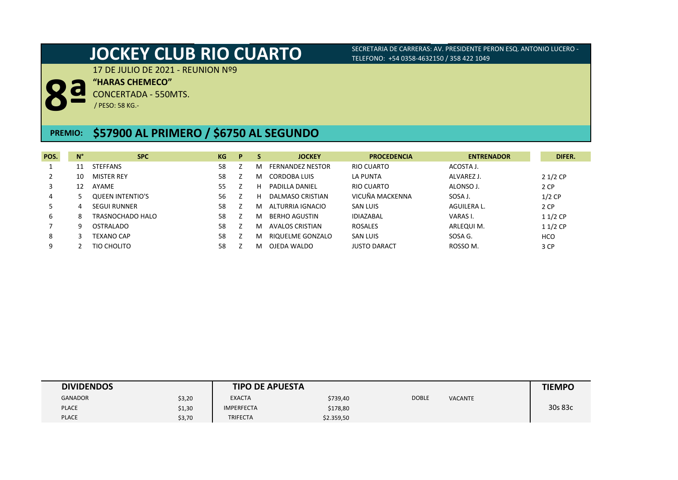17 DE JULIO DE 2021 - REUNION Nº9

**"HARAS CHEMECO"**

**8ª** CONCERTADA - 550MTS.

/ PESO: 58 KG.-

### **\$57900 AL PRIMERO / \$6750 AL SEGUNDO PREMIO:**

| POS. | $N^{\circ}$ | <b>SPC</b>              | KG | P | -5 | <b>JOCKEY</b>           | <b>PROCEDENCIA</b>  | <b>ENTRENADOR</b> | DIFER.     |
|------|-------------|-------------------------|----|---|----|-------------------------|---------------------|-------------------|------------|
|      |             | <b>STEFFANS</b>         | 58 |   | м  | <b>FERNANDEZ NESTOR</b> | RIO CUARTO          | ACOSTA J.         |            |
|      | 10          | <b>MISTER REY</b>       | 58 |   | м  | <b>CORDOBA LUIS</b>     | <b>LA PUNTA</b>     | ALVAREZ J.        | $21/2$ CP  |
| 3    | 12          | AYAME                   | 55 |   | н  | <b>PADILLA DANIEL</b>   | RIO CUARTO          | ALONSO J.         | 2 CP       |
| 4    |             | <b>QUEEN INTENTIO'S</b> | 56 |   | н  | DALMASO CRISTIAN        | VICUÑA MACKENNA     | SOSA J.           | $1/2$ CP   |
|      | 4           | <b>SEGUI RUNNER</b>     | 58 |   | м  | ALTURRIA IGNACIO        | SAN LUIS            | AGUILERA L.       | 2 CP       |
| 6    | 8           | TRASNOCHADO HALO        | 58 |   | м  | <b>BERHO AGUSTIN</b>    | <b>IDIAZABAL</b>    | VARAS I.          | $11/2$ CP  |
|      | 9           | OSTRALADO               | 58 |   | м  | <b>AVALOS CRISTIAN</b>  | <b>ROSALES</b>      | ARLEQUI M.        | $11/2$ CP  |
| 8    |             | TEXANO CAP              | 58 |   | м  | RIQUELME GONZALO        | SAN LUIS            | SOSA G.           | <b>HCO</b> |
| 9    |             | TIO CHOLITO             | 58 |   | м  | OJEDA WALDO             | <b>JUSTO DARACT</b> | ROSSO M.          | 3 CP       |

| <b>DIVIDENDOS</b> |        |                   | <b>TIPO DE APUESTA</b> |              |                |         |  |  |  |  |
|-------------------|--------|-------------------|------------------------|--------------|----------------|---------|--|--|--|--|
| <b>GANADOR</b>    | \$3,20 | <b>EXACTA</b>     | \$739,40               | <b>DOBLE</b> | <b>VACANTE</b> |         |  |  |  |  |
| <b>PLACE</b>      | \$1,30 | <b>IMPERFECTA</b> | \$178,80               |              |                | 30s 83c |  |  |  |  |
| <b>PLACE</b>      | \$3,70 | <b>TRIFECTA</b>   | \$2.359,50             |              |                |         |  |  |  |  |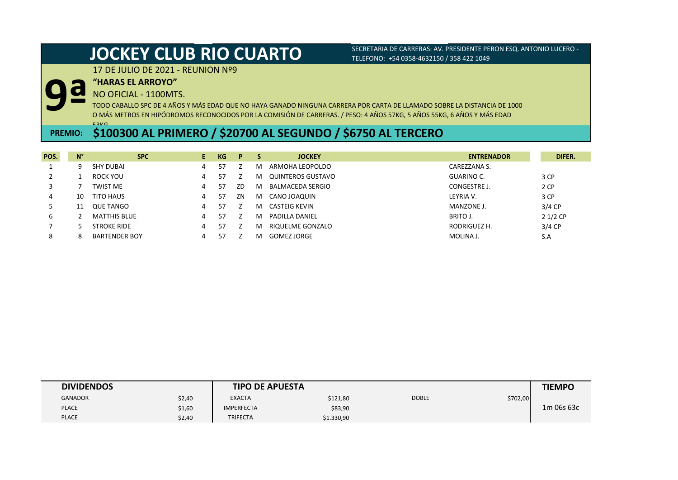### 17 DE JULIO DE 2021 - REUNION Nº9

**"HARAS EL ARROYO"**

# **9ª** NO OFICIAL - 1100MTS.

TODO CABALLO SPC DE 4 AÑOS Y MÁS EDAD QUE NO HAYA GANADO NINGUNA CARRERA POR CARTA DE LLAMADO SOBRE LA DISTANCIA DE 1000 O MÁS METROS EN HIPÓDROMOS RECONOCIDOS POR LA COMISIÓN DE CARRERAS. / PESO: 4 AÑOS 57KG, 5 AÑOS 55KG, 6 AÑOS Y MÁS EDAD 53KG.

# **PREMIO: \$100300 AL PRIMERO / \$20700 AL SEGUNDO / \$6750 AL TERCERO**

| POS. | $N^{\circ}$ | <b>SPC</b>           | E. | KG | P. | -S | <b>JOCKEY</b>           | <b>ENTRENADOR</b> | DIFER.    |
|------|-------------|----------------------|----|----|----|----|-------------------------|-------------------|-----------|
|      |             | <b>SHY DUBAI</b>     | 4  | 57 |    | м  | ARMOHA LEOPOLDO         | CAREZZANA S.      |           |
|      |             | ROCK YOU             | 4  | 57 |    | м  | QUINTEROS GUSTAVO       | GUARINO C.        | 3 CP      |
|      |             | <b>TWIST ME</b>      | 4  | 57 | ZD | м  | <b>BALMACEDA SERGIO</b> | CONGESTRE J.      | 2 CP      |
| 4    | 10          | TITO HAUS            | 4  | 57 | ΖN | м  | CANO JOAQUIN            | LEYRIA V.         | 3 CP      |
|      | 11          | <b>QUE TANGO</b>     | 4  | 57 |    | м  | CASTEIG KEVIN           | MANZONE J.        | $3/4$ CP  |
| 6    |             | <b>MATTHIS BLUE</b>  | 4  | 57 |    | м  | <b>PADILLA DANIEL</b>   | BRITO J.          | $21/2$ CP |
|      |             | <b>STROKE RIDE</b>   | 4  | 57 |    | м  | RIQUELME GONZALO        | RODRIGUEZ H.      | $3/4$ CP  |
| 8    |             | <b>BARTENDER BOY</b> |    | 57 |    | м  | <b>GOMEZ JORGE</b>      | MOLINA J.         | S.A       |

| <b>DIVIDENDOS</b> |        |                   | <b>TIPO DE APUESTA</b> |              |          |            |  |  |  |  |
|-------------------|--------|-------------------|------------------------|--------------|----------|------------|--|--|--|--|
| <b>GANADOR</b>    | \$2,40 | <b>EXACTA</b>     | \$121,80               | <b>DOBLE</b> | \$702,00 |            |  |  |  |  |
| <b>PLACE</b>      | \$1,60 | <b>IMPERFECTA</b> | \$83,90                |              |          | 1m 06s 63c |  |  |  |  |
| <b>PLACE</b>      | \$2,40 | <b>TRIFECTA</b>   | \$1.330,90             |              |          |            |  |  |  |  |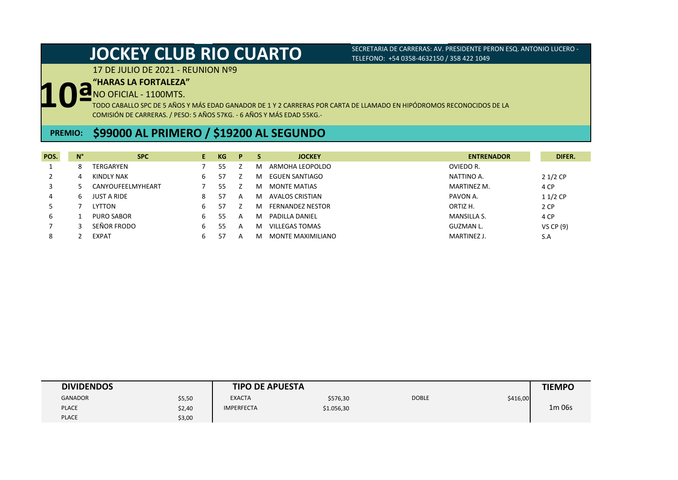17 DE JULIO DE 2021 - REUNION Nº9

### **"HARAS LA FORTALEZA"**

### NO OFICIAL - 1100MTS.

**10ª** TODO CABALLO SPC DE 5 AÑOS Y MÁS EDAD GANADOR DE 1 Y 2 CARRERAS POR CARTA DE LLAMADO EN HIPÓDROMOS RECONOCIDOS DE LA COMISIÓN DE CARRERAS. / PESO: 5 AÑOS 57KG. - 6 AÑOS Y MÁS EDAD 55KG.-

# **\$99000 AL PRIMERO / \$19200 AL SEGUNDO PREMIO:**

| POS. | $N^{\circ}$ | <b>SPC</b>         |   | KG. | P. | -S | <b>JOCKEY</b>            | <b>ENTRENADOR</b>  | DIFER.           |
|------|-------------|--------------------|---|-----|----|----|--------------------------|--------------------|------------------|
|      | 8           | TERGARYEN          |   | 55  |    | м  | ARMOHA LEOPOLDO          | OVIEDO R.          |                  |
|      |             | KINDLY NAK         | ь | 57  |    | м  | EGUEN SANTIAGO           | NATTINO A.         | $21/2$ CP        |
|      |             | CANYOUFEELMYHEART  |   | 55  |    | м  | <b>MONTE MATIAS</b>      | MARTINEZ M.        | 4 CP             |
| 4    | b           | <b>JUST A RIDE</b> | 8 | 57  | А  | м  | AVALOS CRISTIAN          | PAVON A.           | $11/2$ CP        |
|      |             | LYTTON             | h | 57  |    | м  | <b>FERNANDEZ NESTOR</b>  | ORTIZ H.           | 2 CP             |
| 6    |             | <b>PURO SABOR</b>  |   | 55  | А  | м  | PADILLA DANIEL           | <b>MANSILLA S.</b> | 4 CP             |
|      |             | SEÑOR FRODO        |   | 55  | А  | м  | <b>VILLEGAS TOMAS</b>    | GUZMAN L.          | <b>VS CP (9)</b> |
| 8    |             | <b>EXPAT</b>       |   | 57  | А  | м  | <b>MONTE MAXIMILIANO</b> | <b>MARTINEZ J.</b> | S.A              |

| <b>DIVIDENDOS</b> |        |                   | <b>TIPO DE APUESTA</b> |              |          |        |  |  |  |  |
|-------------------|--------|-------------------|------------------------|--------------|----------|--------|--|--|--|--|
| <b>GANADOR</b>    | \$5,50 | <b>EXACTA</b>     | \$576,30               | <b>DOBLE</b> | \$416,00 |        |  |  |  |  |
| <b>PLACE</b>      | \$2,40 | <b>IMPERFECTA</b> | \$1.056,30             |              |          | 1m 06s |  |  |  |  |
| <b>PLACE</b>      | \$3,00 |                   |                        |              |          |        |  |  |  |  |